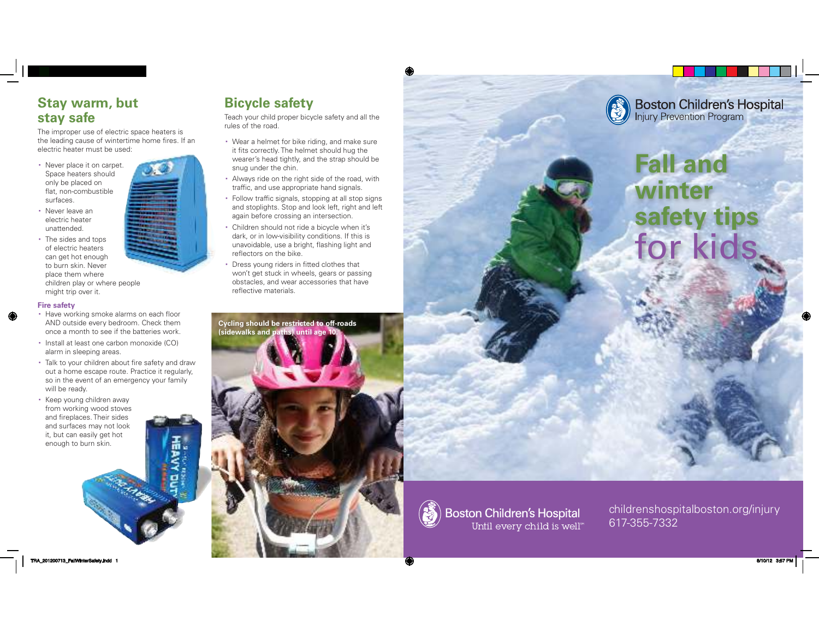#### **Stay warm, but stay safe**

The improper use of electric space heaters is the leading cause of wintertime home fires. If an electric heater must be used:

- Never place it on carpet. Space heaters should only be placed on flat, non-combustible surfaces.
- Never leave an electric heater unattended.
- The sides and tops of electric heaters can get hot enough to burn skin. Never place them where children play or where people

might trip over it.

**Fire safety**

- Have working smoke alarms on each floor AND outside every bedroom. Check them once a month to see if the batteries work.
- Install at least one carbon monoxide (CO) alarm in sleeping areas.
- Talk to your children about fire safety and draw out a home escape route. Practice it regularly, so in the event of an emergency your family will be ready.
- \* Keep young children away from working wood stoves and fireplaces. Their sides and surfaces may not look it, but can easily get hot enough to burn skin.

# **Bicycle safety**

Teach your child proper bicycle safety and all the rules of the road.

- Wear a helmet for bike riding, and make sure it fits correctly. The helmet should hug the wearer's head tightly, and the strap should be snug under the chin.
- Always ride on the right side of the road, with traffic, and use appropriate hand signals.
- Follow traffic signals, stopping at all stop signs and stoplights. Stop and look left, right and left again before crossing an intersection.
- Children should not ride a bicycle when it's dark, or in low-visibility conditions. If this is unavoidable, use a bright, flashing light and reflectors on the bike.
- Dress young riders in fitted clothes that won't get stuck in wheels, gears or passing obstacles, and wear accessories that have reflective materials.





# **Fall and winter safety tips** for ki



childrenshospitalboston.org/injury 617-355-7332